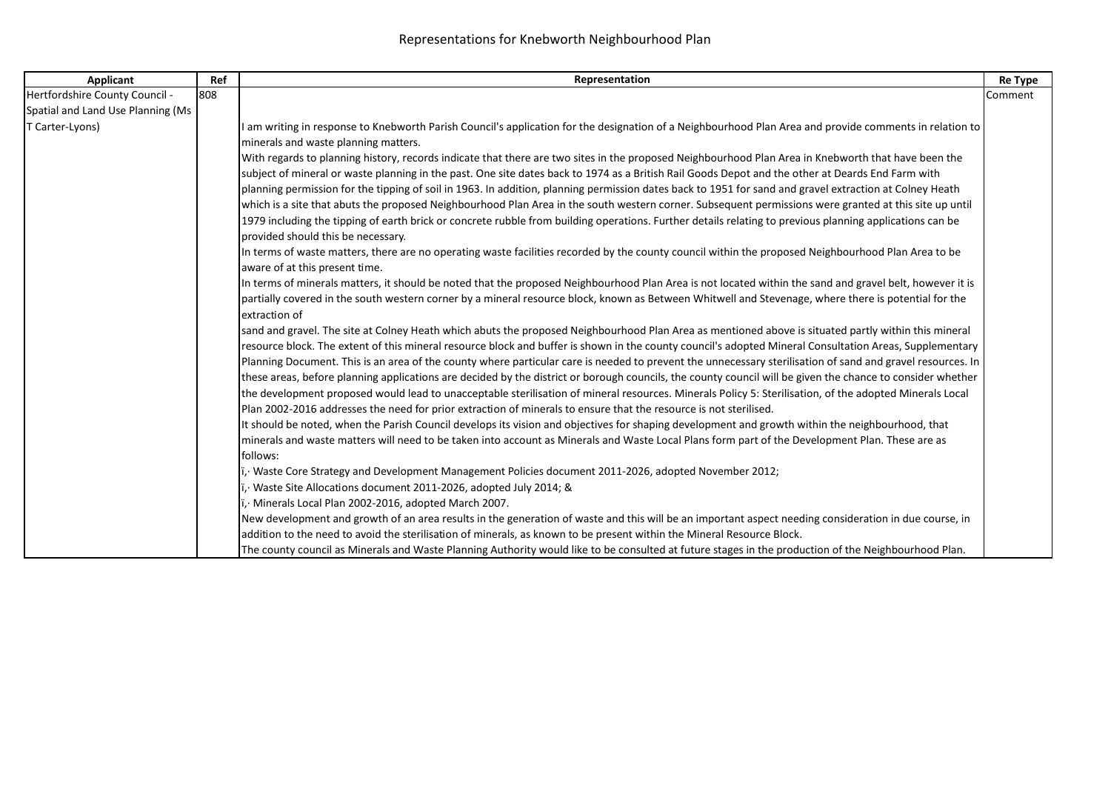| Applicant                         | Ref | Representation                                                                                                                                                                                 | Re Type |
|-----------------------------------|-----|------------------------------------------------------------------------------------------------------------------------------------------------------------------------------------------------|---------|
| Hertfordshire County Council -    | 808 |                                                                                                                                                                                                | Comment |
| Spatial and Land Use Planning (Ms |     |                                                                                                                                                                                                |         |
| T Carter-Lyons)                   |     | I am writing in response to Knebworth Parish Council's application for the designation of a Neighbourhood Plan Area and provide comments in relation to                                        |         |
|                                   |     | minerals and waste planning matters.                                                                                                                                                           |         |
|                                   |     | With regards to planning history, records indicate that there are two sites in the proposed Neighbourhood Plan Area in Knebworth that have been the                                            |         |
|                                   |     | subject of mineral or waste planning in the past. One site dates back to 1974 as a British Rail Goods Depot and the other at Deards End Farm with                                              |         |
|                                   |     | planning permission for the tipping of soil in 1963. In addition, planning permission dates back to 1951 for sand and gravel extraction at Colney Heath                                        |         |
|                                   |     | which is a site that abuts the proposed Neighbourhood Plan Area in the south western corner. Subsequent permissions were granted at this site up until                                         |         |
|                                   |     | 1979 including the tipping of earth brick or concrete rubble from building operations. Further details relating to previous planning applications can be<br>provided should this be necessary. |         |
|                                   |     | In terms of waste matters, there are no operating waste facilities recorded by the county council within the proposed Neighbourhood Plan Area to be<br>aware of at this present time.          |         |
|                                   |     | In terms of minerals matters, it should be noted that the proposed Neighbourhood Plan Area is not located within the sand and gravel belt, however it is                                       |         |
|                                   |     | partially covered in the south western corner by a mineral resource block, known as Between Whitwell and Stevenage, where there is potential for the                                           |         |
|                                   |     | extraction of                                                                                                                                                                                  |         |
|                                   |     | sand and gravel. The site at Colney Heath which abuts the proposed Neighbourhood Plan Area as mentioned above is situated partly within this mineral                                           |         |
|                                   |     | resource block. The extent of this mineral resource block and buffer is shown in the county council's adopted Mineral Consultation Areas, Supplementary                                        |         |
|                                   |     | Planning Document. This is an area of the county where particular care is needed to prevent the unnecessary sterilisation of sand and gravel resources. In                                     |         |
|                                   |     | these areas, before planning applications are decided by the district or borough councils, the county council will be given the chance to consider whether                                     |         |
|                                   |     | the development proposed would lead to unacceptable sterilisation of mineral resources. Minerals Policy 5: Sterilisation, of the adopted Minerals Local                                        |         |
|                                   |     | Plan 2002-2016 addresses the need for prior extraction of minerals to ensure that the resource is not sterilised.                                                                              |         |
|                                   |     | It should be noted, when the Parish Council develops its vision and objectives for shaping development and growth within the neighbourhood, that                                               |         |
|                                   |     | minerals and waste matters will need to be taken into account as Minerals and Waste Local Plans form part of the Development Plan. These are as                                                |         |
|                                   |     | follows:                                                                                                                                                                                       |         |
|                                   |     | i, Waste Core Strategy and Development Management Policies document 2011-2026, adopted November 2012;                                                                                          |         |
|                                   |     | i, Waste Site Allocations document 2011-2026, adopted July 2014; &                                                                                                                             |         |
|                                   |     | i, Minerals Local Plan 2002-2016, adopted March 2007.                                                                                                                                          |         |
|                                   |     | New development and growth of an area results in the generation of waste and this will be an important aspect needing consideration in due course, in                                          |         |
|                                   |     | addition to the need to avoid the sterilisation of minerals, as known to be present within the Mineral Resource Block.                                                                         |         |
|                                   |     | The county council as Minerals and Waste Planning Authority would like to be consulted at future stages in the production of the Neighbourhood Plan.                                           |         |